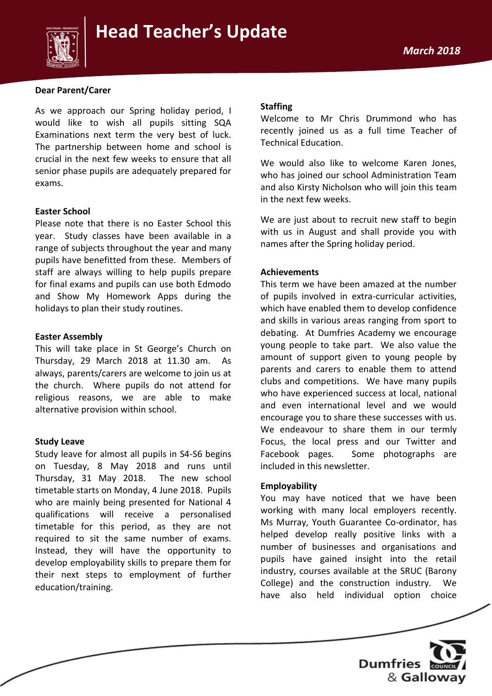

#### **Dear Parent/Carer**

As we approach our Spring holiday period, I would like to wish all pupils sitting SQA Examinations next term the very best of luck. The partnership between home and school is crucial in the next few weeks to ensure that all senior phase pupils are adequately prepared for exams.

#### **Easter School**

Please note that there is no Easter School this year. Study classes have been available in a range of subjects throughout the year and many pupils have benefitted from these. Members of staff are always willing to help pupils prepare for final exams and pupils can use both Edmodo and Show My Homework Apps during the holidays to plan their study routines.

#### **Easter Assembly**

This will take place in St George's Church on Thursday, 29 March 2018 at 11.30 am. As always, parents/carers are welcome to join us at the church. Where pupils do not attend for religious reasons, we are able to make alternative provision within school.

#### **Study Leave**

Study leave for almost all pupils in S4-S6 begins on Tuesday, 8 May 2018 and runs until Thursday, 31 May 2018. The new school timetable starts on Monday, 4 June 2018. Pupils who are mainly being presented for National 4 qualifications will receive a personalised timetable for this period, as they are not required to sit the same number of exams. Instead, they will have the opportunity to develop employability skills to prepare them for their next steps to employment of further education/training.

#### **Staffing**

Welcome to Mr Chris Drummond who has recently joined us as a full time Teacher of Technical Education.

We would also like to welcome Karen Jones, who has joined our school Administration Team and also Kirsty Nicholson who will join this team in the next few weeks.

We are just about to recruit new staff to begin with us in August and shall provide you with names after the Spring holiday period.

#### **Achievements**

This term we have been amazed at the number of pupils involved in extra-curricular activities, which have enabled them to develop confidence and skills in various areas ranging from sport to debating. At Dumfries Academy we encourage young people to take part. We also value the amount of support given to young people by parents and carers to enable them to attend clubs and competitions. We have many pupils who have experienced success at local, national and even international level and we would encourage you to share these successes with us. We endeavour to share them in our termly Focus, the local press and our Twitter and Facebook pages. Some photographs are included in this newsletter.

#### **Employability**

You may have noticed that we have been working with many local employers recently. Ms Murray, Youth Guarantee Co-ordinator, has helped develop really positive links with a number of businesses and organisations and pupils have gained insight into the retail industry, courses available at the SRUC (Barony College) and the construction industry. We have also held individual option choice

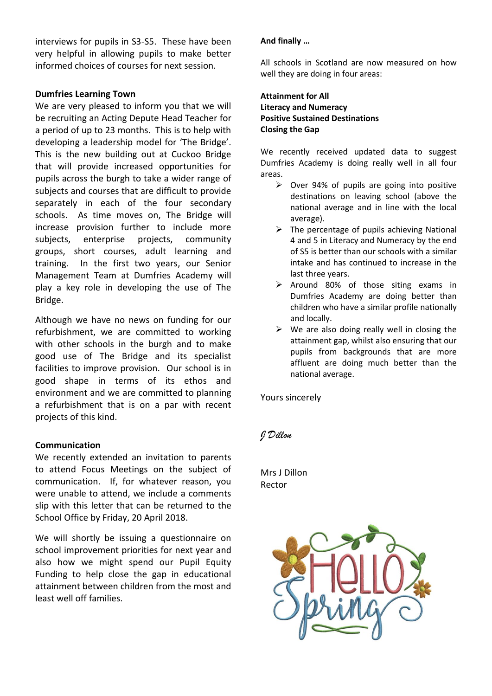interviews for pupils in S3-S5. These have been very helpful in allowing pupils to make better informed choices of courses for next session.

## **Dumfries Learning Town**

We are very pleased to inform you that we will be recruiting an Acting Depute Head Teacher for a period of up to 23 months. This is to help with developing a leadership model for 'The Bridge'. This is the new building out at Cuckoo Bridge that will provide increased opportunities for pupils across the burgh to take a wider range of subjects and courses that are difficult to provide separately in each of the four secondary schools. As time moves on, The Bridge will increase provision further to include more subjects, enterprise projects, community groups, short courses, adult learning and training. In the first two years, our Senior Management Team at Dumfries Academy will play a key role in developing the use of The Bridge.

Although we have no news on funding for our refurbishment, we are committed to working with other schools in the burgh and to make good use of The Bridge and its specialist facilities to improve provision. Our school is in good shape in terms of its ethos and environment and we are committed to planning a refurbishment that is on a par with recent projects of this kind.

## **Communication**

We recently extended an invitation to parents to attend Focus Meetings on the subject of communication. If, for whatever reason, you were unable to attend, we include a comments slip with this letter that can be returned to the School Office by Friday, 20 April 2018.

We will shortly be issuing a questionnaire on school improvement priorities for next year and also how we might spend our Pupil Equity Funding to help close the gap in educational attainment between children from the most and least well off families.

# **And finally …**

All schools in Scotland are now measured on how well they are doing in four areas:

## **Attainment for All Literacy and Numeracy Positive Sustained Destinations Closing the Gap**

We recently received updated data to suggest Dumfries Academy is doing really well in all four areas.

- $\geq$  Over 94% of pupils are going into positive destinations on leaving school (above the national average and in line with the local average).
- $\triangleright$  The percentage of pupils achieving National 4 and 5 in Literacy and Numeracy by the end of S5 is better than our schools with a similar intake and has continued to increase in the last three years.
- $\triangleright$  Around 80% of those siting exams in Dumfries Academy are doing better than children who have a similar profile nationally and locally.
- $\triangleright$  We are also doing really well in closing the attainment gap, whilst also ensuring that our pupils from backgrounds that are more affluent are doing much better than the national average.

Yours sincerely

# *J Dillon*

Mrs J Dillon Rector

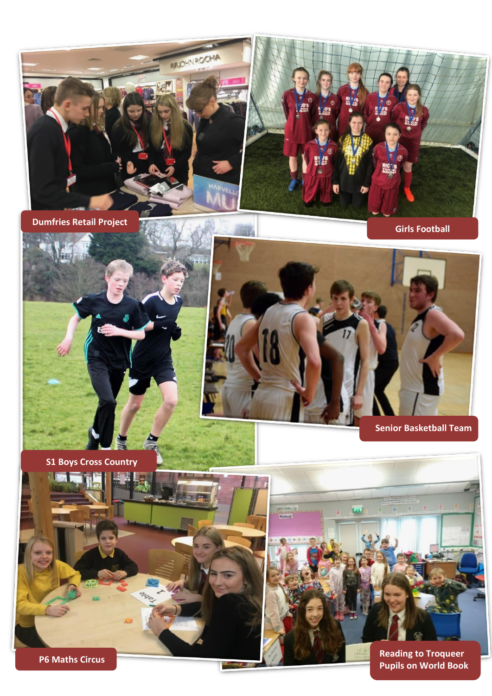

**Dumfries Retail Project**

**Girls Football**



**S1 Boys Cross Country**







**Day**

**Pupils on World Book**